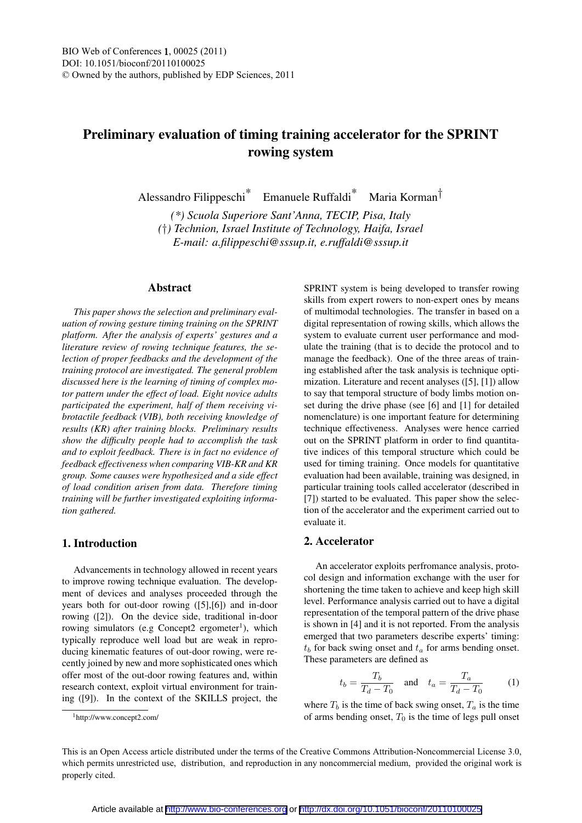# Preliminary evaluation of timing training accelerator for the SPRINT rowing system

Alessandro Filippeschi\* Emanuele Ruffaldi\* Maria Korman†

*(\*) Scuola Superiore Sant'Anna, TECIP, Pisa, Italy (*†*) Technion, Israel Institute of Technology, Haifa, Israel E-mail: a.filippeschi@sssup.it, e.ruffaldi@sssup.it*

#### Abstract

*This paper shows the selection and preliminary evaluation of rowing gesture timing training on the SPRINT platform. After the analysis of experts' gestures and a literature review of rowing technique features, the selection of proper feedbacks and the development of the training protocol are investigated. The general problem discussed here is the learning of timing of complex motor pattern under the effect of load. Eight novice adults participated the experiment, half of them receiving vibrotactile feedback (VIB), both receiving knowledge of results (KR) after training blocks. Preliminary results show the difficulty people had to accomplish the task and to exploit feedback. There is in fact no evidence of feedback effectiveness when comparing VIB-KR and KR group. Some causes were hypothesized and a side effect of load condition arisen from data. Therefore timing training will be further investigated exploiting information gathered.*

# 1. Introduction

Advancements in technology allowed in recent years to improve rowing technique evaluation. The development of devices and analyses proceeded through the years both for out-door rowing ([5],[6]) and in-door rowing ([2]). On the device side, traditional in-door rowing simulators (e.g Concept2 ergometer<sup>1</sup>), which typically reproduce well load but are weak in reproducing kinematic features of out-door rowing, were recently joined by new and more sophisticated ones which offer most of the out-door rowing features and, within research context, exploit virtual environment for training ([9]). In the context of the SKILLS project, the

SPRINT system is being developed to transfer rowing skills from expert rowers to non-expert ones by means of multimodal technologies. The transfer in based on a digital representation of rowing skills, which allows the system to evaluate current user performance and modulate the training (that is to decide the protocol and to manage the feedback). One of the three areas of training established after the task analysis is technique optimization. Literature and recent analyses ([5], [1]) allow to say that temporal structure of body limbs motion onset during the drive phase (see [6] and [1] for detailed nomenclature) is one important feature for determining technique effectiveness. Analyses were hence carried out on the SPRINT platform in order to find quantitative indices of this temporal structure which could be used for timing training. Once models for quantitative evaluation had been available, training was designed, in particular training tools called accelerator (described in [7]) started to be evaluated. This paper show the selection of the accelerator and the experiment carried out to evaluate it.

## 2. Accelerator

An accelerator exploits perfromance analysis, protocol design and information exchange with the user for shortening the time taken to achieve and keep high skill level. Performance analysis carried out to have a digital representation of the temporal pattern of the drive phase is shown in [4] and it is not reported. From the analysis emerged that two parameters describe experts' timing:  $t<sub>b</sub>$  for back swing onset and  $t<sub>a</sub>$  for arms bending onset. These parameters are defined as

$$
t_b = \frac{T_b}{T_d - T_0} \quad \text{and} \quad t_a = \frac{T_a}{T_d - T_0} \tag{1}
$$

where  $T_b$  is the time of back swing onset,  $T_a$  is the time of arms bending onset,  $T_0$  is the time of legs pull onset

<sup>1</sup>http://www.concept2.com/

This is an Open Access article distributed under the terms of the Creative Commons Attribution-Noncommercial License 3.0, which permits unrestricted use, distribution, and reproduction in any noncommercial medium, provided the original work is properly cited.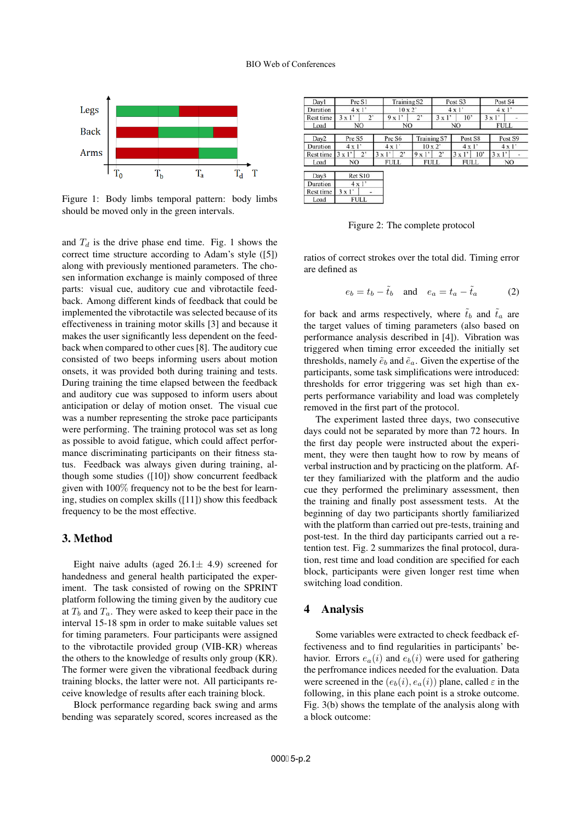

Figure 1: Body limbs temporal pattern: body limbs should be moved only in the green intervals.

and  $T_d$  is the drive phase end time. Fig. 1 shows the correct time structure according to Adam's style ([5]) along with previously mentioned parameters. The chosen information exchange is mainly composed of three parts: visual cue, auditory cue and vibrotactile feedback. Among different kinds of feedback that could be implemented the vibrotactile was selected because of its effectiveness in training motor skills [3] and because it makes the user significantly less dependent on the feedback when compared to other cues [8]. The auditory cue consisted of two beeps informing users about motion onsets, it was provided both during training and tests. During training the time elapsed between the feedback and auditory cue was supposed to inform users about anticipation or delay of motion onset. The visual cue was a number representing the stroke pace participants were performing. The training protocol was set as long as possible to avoid fatigue, which could affect performance discriminating participants on their fitness status. Feedback was always given during training, although some studies ([10]) show concurrent feedback given with 100% frequency not to be the best for learning, studies on complex skills ([11]) show this feedback frequency to be the most effective.

### 3. Method

Eight naive adults (aged  $26.1 \pm 4.9$ ) screened for handedness and general health participated the experiment. The task consisted of rowing on the SPRINT platform following the timing given by the auditory cue at  $T_b$  and  $T_a$ . They were asked to keep their pace in the interval 15-18 spm in order to make suitable values set for timing parameters. Four participants were assigned to the vibrotactile provided group (VIB-KR) whereas the others to the knowledge of results only group (KR). The former were given the vibrational feedback during training blocks, the latter were not. All participants receive knowledge of results after each training block.

Block performance regarding back swing and arms bending was separately scored, scores increased as the

| Dayl             | Pre S1        |              | <b>Training S2</b> |     |                    |               | Post S3      |     | Post S4       |  |
|------------------|---------------|--------------|--------------------|-----|--------------------|---------------|--------------|-----|---------------|--|
| Duration         | $4 \times 1'$ |              | $10 \times 2'$     |     |                    | $4 \times 1'$ |              |     | $4 \times 1'$ |  |
| Rest time        | 3x1'          | $2^{\circ}$  |                    | 9x1 | 2'                 | 3x1<br>10'    |              |     | 3x1'          |  |
| Load             | NO            |              | NO.                |     |                    | NO.           |              |     | <b>FULL</b>   |  |
| Day <sub>2</sub> | Pre S5        |              | Pre S6             |     | <b>Training S7</b> |               | Post S8      |     | Post S9       |  |
| Duration         | $4 \times 1'$ |              | $4 \times 1'$      |     | $10 \times 2$      |               | $4 \times 1$ |     | $4 \times 1'$ |  |
| Rest time        | $3 \times 1'$ | $2^{\prime}$ | 3x1'               | 2'  | 9x1'               | $2^{\circ}$   | 3x1'         | 10' | 3x1'          |  |
| Load             | NO.           |              | <b>FULL</b>        |     | <b>FULL</b>        |               | <b>FULL</b>  |     | NO.           |  |
| Day3             | Ret S10       |              |                    |     |                    |               |              |     |               |  |
| Duration         | $4 \times 1'$ |              |                    |     |                    |               |              |     |               |  |
| Rest time        | $3 \times 1'$ |              |                    |     |                    |               |              |     |               |  |
| Load             | FULL          |              |                    |     |                    |               |              |     |               |  |

Figure 2: The complete protocol

ratios of correct strokes over the total did. Timing error are defined as

$$
e_b = t_b - \tilde{t}_b \quad \text{and} \quad e_a = t_a - \tilde{t}_a \tag{2}
$$

for back and arms respectively, where  $\tilde{t}_b$  and  $\tilde{t}_a$  are the target values of timing parameters (also based on performance analysis described in [4]). Vibration was triggered when timing error exceeded the initially set thresholds, namely  $\tilde{e}_b$  and  $\tilde{e}_a$ . Given the expertise of the participants, some task simplifications were introduced: thresholds for error triggering was set high than experts performance variability and load was completely removed in the first part of the protocol.

The experiment lasted three days, two consecutive days could not be separated by more than 72 hours. In the first day people were instructed about the experiment, they were then taught how to row by means of verbal instruction and by practicing on the platform. After they familiarized with the platform and the audio cue they performed the preliminary assessment, then the training and finally post assessment tests. At the beginning of day two participants shortly familiarized with the platform than carried out pre-tests, training and post-test. In the third day participants carried out a retention test. Fig. 2 summarizes the final protocol, duration, rest time and load condition are specified for each block, participants were given longer rest time when switching load condition.

### 4 Analysis

Some variables were extracted to check feedback effectiveness and to find regularities in participants' behavior. Errors  $e_a(i)$  and  $e_b(i)$  were used for gathering the perfromance indices needed for the evaluation. Data were screened in the  $(e_b(i), e_a(i))$  plane, called  $\varepsilon$  in the following, in this plane each point is a stroke outcome. Fig. 3(b) shows the template of the analysis along with a block outcome: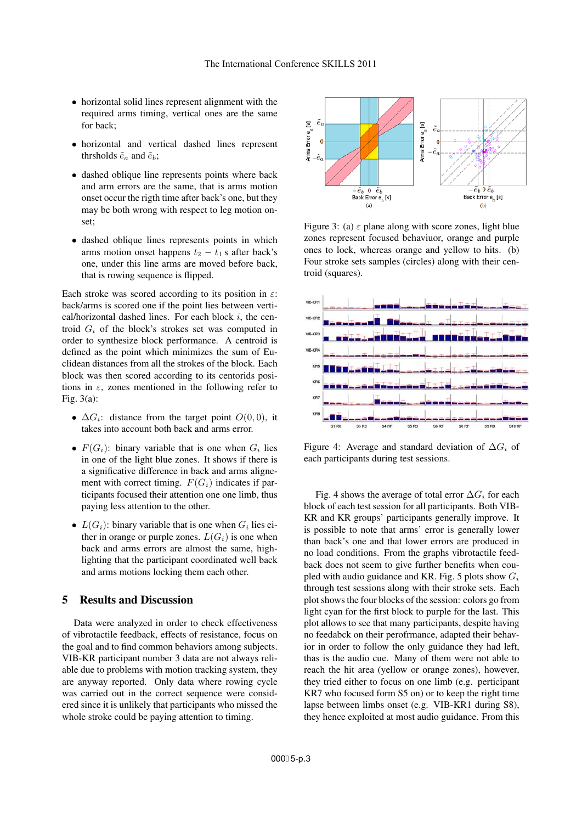- horizontal solid lines represent alignment with the required arms timing, vertical ones are the same for back;
- horizontal and vertical dashed lines represent thrsholds  $\tilde{e}_a$  and  $\tilde{e}_b$ ;
- dashed oblique line represents points where back and arm errors are the same, that is arms motion onset occur the rigth time after back's one, but they may be both wrong with respect to leg motion onset;
- dashed oblique lines represents points in which arms motion onset happens  $t_2 - t_1$  s after back's one, under this line arms are moved before back, that is rowing sequence is flipped.

Each stroke was scored according to its position in  $\varepsilon$ : back/arms is scored one if the point lies between vertical/horizontal dashed lines. For each block  $i$ , the centroid  $G_i$  of the block's strokes set was computed in order to synthesize block performance. A centroid is defined as the point which minimizes the sum of Euclidean distances from all the strokes of the block. Each block was then scored according to its centorids positions in  $\varepsilon$ , zones mentioned in the following refer to Fig. 3(a):

- $\Delta G_i$ : distance from the target point  $O(0,0)$ , it takes into account both back and arms error.
- $F(G_i)$ : binary variable that is one when  $G_i$  lies in one of the light blue zones. It shows if there is a significative difference in back and arms alignement with correct timing.  $F(G_i)$  indicates if participants focused their attention one one limb, thus paying less attention to the other.
- $L(G_i)$ : binary variable that is one when  $G_i$  lies either in orange or purple zones.  $L(G_i)$  is one when back and arms errors are almost the same, highlighting that the participant coordinated well back and arms motions locking them each other.

#### 5 Results and Discussion

Data were analyzed in order to check effectiveness of vibrotactile feedback, effects of resistance, focus on the goal and to find common behaviors among subjects. VIB-KR participant number 3 data are not always reliable due to problems with motion tracking system, they are anyway reported. Only data where rowing cycle was carried out in the correct sequence were considered since it is unlikely that participants who missed the whole stroke could be paying attention to timing.



Figure 3: (a)  $\varepsilon$  plane along with score zones, light blue zones represent focused behaviuor, orange and purple ones to lock, whereas orange and yellow to hits. (b) Four stroke sets samples (circles) along with their centroid (squares).



Figure 4: Average and standard deviation of  $\Delta G_i$  of each participants during test sessions.

Fig. 4 shows the average of total error  $\Delta G_i$  for each block of each test session for all participants. Both VIB-KR and KR groups' participants generally improve. It is possible to note that arms' error is generally lower than back's one and that lower errors are produced in no load conditions. From the graphs vibrotactile feedback does not seem to give further benefits when coupled with audio guidance and KR. Fig. 5 plots show  $G_i$ through test sessions along with their stroke sets. Each plot shows the four blocks of the session: colors go from light cyan for the first block to purple for the last. This plot allows to see that many participants, despite having no feedabck on their perofrmance, adapted their behavior in order to follow the only guidance they had left, thas is the audio cue. Many of them were not able to reach the hit area (yellow or orange zones), however, they tried either to focus on one limb (e.g. perticipant KR7 who focused form S5 on) or to keep the right time lapse between limbs onset (e.g. VIB-KR1 during S8), they hence exploited at most audio guidance. From this